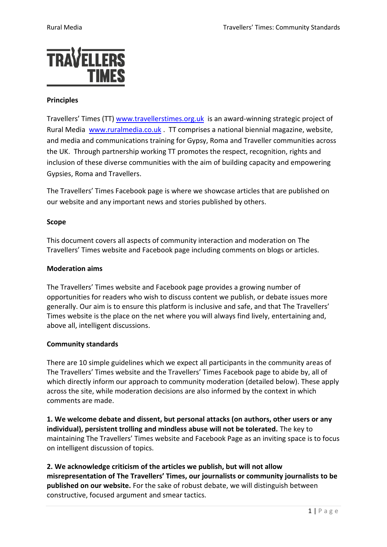

### **Principles**

Travellers' Times (TT) [www.travellerstimes.org.uk](http://www.travellerstimes.org.uk/) is an award-winning strategic project of Rural Media [www.ruralmedia.co.uk](http://www.ruralmedia.co.uk/) . TT comprises a national biennial magazine, website, and media and communications training for Gypsy, Roma and Traveller communities across the UK. Through partnership working TT promotes the respect, recognition, rights and inclusion of these diverse communities with the aim of building capacity and empowering Gypsies, Roma and Travellers.

The Travellers' Times Facebook page is where we showcase articles that are published on our website and any important news and stories published by others.

#### **Scope**

This document covers all aspects of community interaction and moderation on The Travellers' Times website and Facebook page including comments on blogs or articles.

#### **Moderation aims**

The Travellers' Times website and Facebook page provides a growing number of opportunities for readers who wish to discuss content we publish, or debate issues more generally. Our aim is to ensure this platform is inclusive and safe, and that The Travellers' Times website is the place on the net where you will always find lively, entertaining and, above all, intelligent discussions.

### **Community standards**

There are 10 simple guidelines which we expect all participants in the community areas of The Travellers' Times website and the Travellers' Times Facebook page to abide by, all of which directly inform our approach to community moderation (detailed below). These apply across the site, while moderation decisions are also informed by the context in which comments are made.

**1. We welcome debate and dissent, but personal attacks (on authors, other users or any individual), persistent trolling and mindless abuse will not be tolerated.** The key to maintaining The Travellers' Times website and Facebook Page as an inviting space is to focus on intelligent discussion of topics.

**2. We acknowledge criticism of the articles we publish, but will not allow misrepresentation of The Travellers' Times, our journalists or community journalists to be published on our website.** For the sake of robust debate, we will distinguish between constructive, focused argument and smear tactics.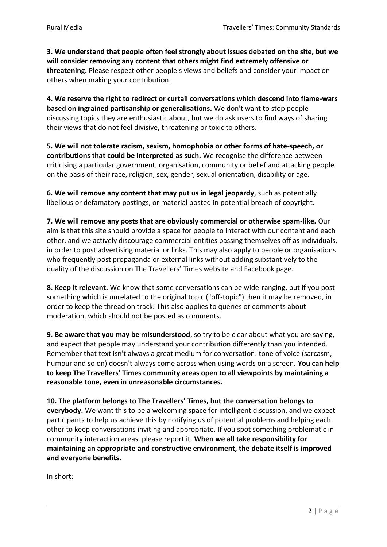**3. We understand that people often feel strongly about issues debated on the site, but we will consider removing any content that others might find extremely offensive or threatening.** Please respect other people's views and beliefs and consider your impact on others when making your contribution.

**4. We reserve the right to redirect or curtail conversations which descend into flame-wars based on ingrained partisanship or generalisations.** We don't want to stop people discussing topics they are enthusiastic about, but we do ask users to find ways of sharing their views that do not feel divisive, threatening or toxic to others.

**5. We will not tolerate racism, sexism, homophobia or other forms of hate-speech, or contributions that could be interpreted as such.** We recognise the difference between criticising a particular government, organisation, community or belief and attacking people on the basis of their race, religion, sex, gender, sexual orientation, disability or age.

**6. We will remove any content that may put us in legal jeopardy**, such as potentially libellous or defamatory postings, or material posted in potential breach of copyright.

**7. We will remove any posts that are obviously commercial or otherwise spam-like.** Our aim is that this site should provide a space for people to interact with our content and each other, and we actively discourage commercial entities passing themselves off as individuals, in order to post advertising material or links. This may also apply to people or organisations who frequently post propaganda or external links without adding substantively to the quality of the discussion on The Travellers' Times website and Facebook page.

**8. Keep it relevant.** We know that some conversations can be wide-ranging, but if you post something which is unrelated to the original topic ("off-topic") then it may be removed, in order to keep the thread on track. This also applies to queries or comments about moderation, which should not be posted as comments.

**9. Be aware that you may be misunderstood**, so try to be clear about what you are saying, and expect that people may understand your contribution differently than you intended. Remember that text isn't always a great medium for conversation: tone of voice (sarcasm, humour and so on) doesn't always come across when using words on a screen. **You can help to keep The Travellers' Times community areas open to all viewpoints by maintaining a reasonable tone, even in unreasonable circumstances.**

**10. The platform belongs to The Travellers' Times, but the conversation belongs to everybody.** We want this to be a welcoming space for intelligent discussion, and we expect participants to help us achieve this by notifying us of potential problems and helping each other to keep conversations inviting and appropriate. If you spot something problematic in community interaction areas, please report it. **When we all take responsibility for maintaining an appropriate and constructive environment, the debate itself is improved and everyone benefits.**

In short: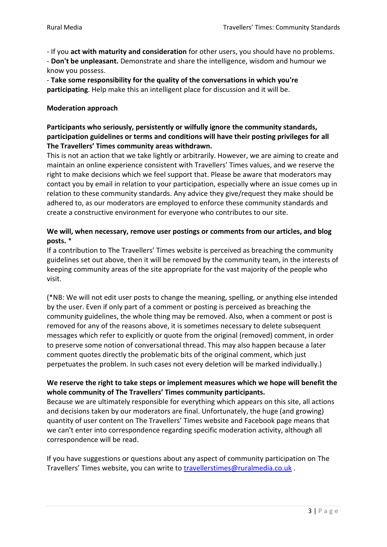- If you **act with maturity and consideration** for other users, you should have no problems.

- **Don't be unpleasant.** Demonstrate and share the intelligence, wisdom and humour we know you possess.

- **Take some responsibility for the quality of the conversations in which you're participating**. Help make this an intelligent place for discussion and it will be.

### **Moderation approach**

# **Participants who seriously, persistently or wilfully ignore the community standards, participation guidelines or terms and conditions will have their posting privileges for all The Travellers' Times community areas withdrawn.**

This is not an action that we take lightly or arbitrarily. However, we are aiming to create and maintain an online experience consistent with Travellers' Times values, and we reserve the right to make decisions which we feel support that. Please be aware that moderators may contact you by email in relation to your participation, especially where an issue comes up in relation to these community standards. Any advice they give/request they make should be adhered to, as our moderators are employed to enforce these community standards and create a constructive environment for everyone who contributes to our site.

## **We will, when necessary, remove user postings or comments from our articles, and blog posts.** \*

If a contribution to The Travellers' Times website is perceived as breaching the community guidelines set out above, then it will be removed by the community team, in the interests of keeping community areas of the site appropriate for the vast majority of the people who visit.

(\*NB: We will not edit user posts to change the meaning, spelling, or anything else intended by the user. Even if only part of a comment or posting is perceived as breaching the community guidelines, the whole thing may be removed. Also, when a comment or post is removed for any of the reasons above, it is sometimes necessary to delete subsequent messages which refer to explicitly or quote from the original (removed) comment, in order to preserve some notion of conversational thread. This may also happen because a later comment quotes directly the problematic bits of the original comment, which just perpetuates the problem. In such cases not every deletion will be marked individually.)

# **We reserve the right to take steps or implement measures which we hope will benefit the whole community of The Travellers' Times community participants.**

Because we are ultimately responsible for everything which appears on this site, all actions and decisions taken by our moderators are final. Unfortunately, the huge (and growing) quantity of user content on The Travellers' Times website and Facebook page means that we can't enter into correspondence regarding specific moderation activity, although all correspondence will be read.

If you have suggestions or questions about any aspect of community participation on The Travellers' Times website, you can write to [travellerstimes@ruralmedia.co.uk](mailto:travellerstimes@ruralmedia.co.uk) .